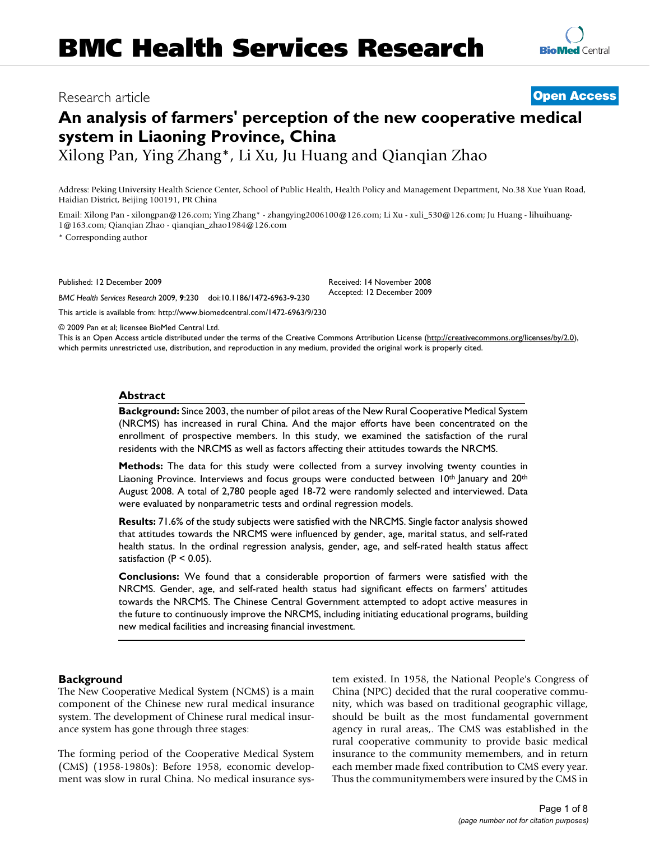# Research article **[Open Access](http://www.biomedcentral.com/info/about/charter/)**

# **An analysis of farmers' perception of the new cooperative medical system in Liaoning Province, China**

Xilong Pan, Ying Zhang\*, Li Xu, Ju Huang and Qianqian Zhao

Address: Peking University Health Science Center, School of Public Health, Health Policy and Management Department, No.38 Xue Yuan Road, Haidian District, Beijing 100191, PR China

Email: Xilong Pan - xilongpan@126.com; Ying Zhang\* - zhangying2006100@126.com; Li Xu - xuli 530@126.com; Ju Huang - lihuihuang-1@163.com; Qianqian Zhao - qianqian\_zhao1984@126.com

\* Corresponding author

Published: 12 December 2009

*BMC Health Services Research* 2009, **9**:230 doi:10.1186/1472-6963-9-230

[This article is available from: http://www.biomedcentral.com/1472-6963/9/230](http://www.biomedcentral.com/1472-6963/9/230)

© 2009 Pan et al; licensee BioMed Central Ltd.

This is an Open Access article distributed under the terms of the Creative Commons Attribution License [\(http://creativecommons.org/licenses/by/2.0\)](http://creativecommons.org/licenses/by/2.0), which permits unrestricted use, distribution, and reproduction in any medium, provided the original work is properly cited.

Received: 14 November 2008 Accepted: 12 December 2009

#### **Abstract**

**Background:** Since 2003, the number of pilot areas of the New Rural Cooperative Medical System (NRCMS) has increased in rural China. And the major efforts have been concentrated on the enrollment of prospective members. In this study, we examined the satisfaction of the rural residents with the NRCMS as well as factors affecting their attitudes towards the NRCMS.

**Methods:** The data for this study were collected from a survey involving twenty counties in Liaoning Province. Interviews and focus groups were conducted between  $10^{th}$  January and  $20^{th}$ August 2008. A total of 2,780 people aged 18-72 were randomly selected and interviewed. Data were evaluated by nonparametric tests and ordinal regression models.

**Results:** 71.6% of the study subjects were satisfied with the NRCMS. Single factor analysis showed that attitudes towards the NRCMS were influenced by gender, age, marital status, and self-rated health status. In the ordinal regression analysis, gender, age, and self-rated health status affect satisfaction ( $P < 0.05$ ).

**Conclusions:** We found that a considerable proportion of farmers were satisfied with the NRCMS. Gender, age, and self-rated health status had significant effects on farmers' attitudes towards the NRCMS. The Chinese Central Government attempted to adopt active measures in the future to continuously improve the NRCMS, including initiating educational programs, building new medical facilities and increasing financial investment.

#### **Background**

The New Cooperative Medical System (NCMS) is a main component of the Chinese new rural medical insurance system. The development of Chinese rural medical insurance system has gone through three stages:

The forming period of the Cooperative Medical System (CMS) (1958-1980s): Before 1958, economic development was slow in rural China. No medical insurance system existed. In 1958, the National People's Congress of China (NPC) decided that the rural cooperative community, which was based on traditional geographic village, should be built as the most fundamental government agency in rural areas,. The CMS was established in the rural cooperative community to provide basic medical insurance to the community memembers, and in return each member made fixed contribution to CMS every year. Thus the communitymembers were insured by the CMS in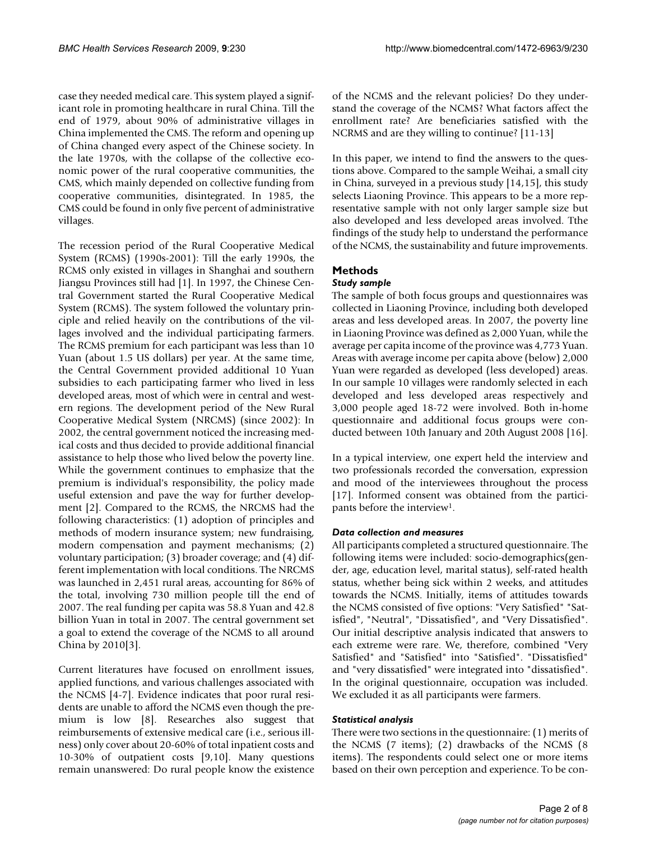case they needed medical care. This system played a significant role in promoting healthcare in rural China. Till the end of 1979, about 90% of administrative villages in China implemented the CMS. The reform and opening up of China changed every aspect of the Chinese society. In the late 1970s, with the collapse of the collective economic power of the rural cooperative communities, the CMS, which mainly depended on collective funding from cooperative communities, disintegrated. In 1985, the CMS could be found in only five percent of administrative villages.

The recession period of the Rural Cooperative Medical System (RCMS) (1990s-2001): Till the early 1990s, the RCMS only existed in villages in Shanghai and southern Jiangsu Provinces still had [\[1\]](#page-6-0). In 1997, the Chinese Central Government started the Rural Cooperative Medical System (RCMS). The system followed the voluntary principle and relied heavily on the contributions of the villages involved and the individual participating farmers. The RCMS premium for each participant was less than 10 Yuan (about 1.5 US dollars) per year. At the same time, the Central Government provided additional 10 Yuan subsidies to each participating farmer who lived in less developed areas, most of which were in central and western regions. The development period of the New Rural Cooperative Medical System (NRCMS) (since 2002): In 2002, the central government noticed the increasing medical costs and thus decided to provide additional financial assistance to help those who lived below the poverty line. While the government continues to emphasize that the premium is individual's responsibility, the policy made useful extension and pave the way for further development [\[2\]](#page-6-1). Compared to the RCMS, the NRCMS had the following characteristics: (1) adoption of principles and methods of modern insurance system; new fundraising, modern compensation and payment mechanisms; (2) voluntary participation; (3) broader coverage; and (4) different implementation with local conditions. The NRCMS was launched in 2,451 rural areas, accounting for 86% of the total, involving 730 million people till the end of 2007. The real funding per capita was 58.8 Yuan and 42.8 billion Yuan in total in 2007. The central government set a goal to extend the coverage of the NCMS to all around China by 2010[\[3\]](#page-7-0).

Current literatures have focused on enrollment issues, applied functions, and various challenges associated with the NCMS [[4-](#page-7-1)[7](#page-7-2)]. Evidence indicates that poor rural residents are unable to afford the NCMS even though the premium is low [\[8\]](#page-7-3). Researches also suggest that reimbursements of extensive medical care (i.e., serious illness) only cover about 20-60% of total inpatient costs and 10-30% of outpatient costs [[9](#page-7-4),[10\]](#page-7-5). Many questions remain unanswered: Do rural people know the existence

of the NCMS and the relevant policies? Do they understand the coverage of the NCMS? What factors affect the enrollment rate? Are beneficiaries satisfied with the NCRMS and are they willing to continue? [[11-](#page-7-6)[13](#page-7-7)]

In this paper, we intend to find the answers to the questions above. Compared to the sample Weihai, a small city in China, surveyed in a previous study [\[14](#page-7-8),[15\]](#page-7-9), this study selects Liaoning Province. This appears to be a more representative sample with not only larger sample size but also developed and less developed areas involved. Tthe findings of the study help to understand the performance of the NCMS, the sustainability and future improvements.

# **Methods**

# *Study sample*

The sample of both focus groups and questionnaires was collected in Liaoning Province, including both developed areas and less developed areas. In 2007, the poverty line in Liaoning Province was defined as 2,000 Yuan, while the average per capita income of the province was 4,773 Yuan. Areas with average income per capita above (below) 2,000 Yuan were regarded as developed (less developed) areas. In our sample 10 villages were randomly selected in each developed and less developed areas respectively and 3,000 people aged 18-72 were involved. Both in-home questionnaire and additional focus groups were conducted between 10th January and 20th August 2008 [\[16](#page-7-10)].

In a typical interview, one expert held the interview and two professionals recorded the conversation, expression and mood of the interviewees throughout the process [[17](#page-7-11)]. Informed consent was obtained from the participants before the interview1.

# *Data collection and measures*

All participants completed a structured questionnaire. The following items were included: socio-demographics(gender, age, education level, marital status), self-rated health status, whether being sick within 2 weeks, and attitudes towards the NCMS. Initially, items of attitudes towards the NCMS consisted of five options: "Very Satisfied" "Satisfied", "Neutral", "Dissatisfied", and "Very Dissatisfied". Our initial descriptive analysis indicated that answers to each extreme were rare. We, therefore, combined "Very Satisfied" and "Satisfied" into "Satisfied". "Dissatisfied" and "very dissatisfied" were integrated into "dissatisfied". In the original questionnaire, occupation was included. We excluded it as all participants were farmers.

#### *Statistical analysis*

There were two sections in the questionnaire: (1) merits of the NCMS (7 items); (2) drawbacks of the NCMS (8 items). The respondents could select one or more items based on their own perception and experience. To be con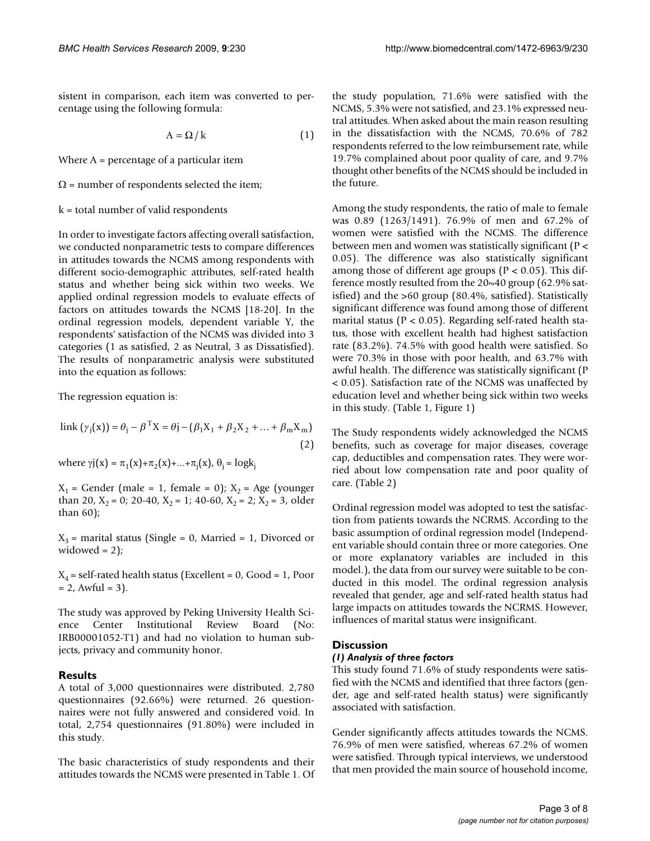sistent in comparison, each item was converted to percentage using the following formula:

$$
A = \Omega / k \tag{1}
$$

Where  $A =$  percentage of a particular item

 $\Omega$  = number of respondents selected the item;

#### k = total number of valid respondents

In order to investigate factors affecting overall satisfaction, we conducted nonparametric tests to compare differences in attitudes towards the NCMS among respondents with different socio-demographic attributes, self-rated health status and whether being sick within two weeks. We applied ordinal regression models to evaluate effects of factors on attitudes towards the NCMS [\[18](#page-7-12)[-20](#page-7-13)]. In the ordinal regression models, dependent variable Y, the respondents' satisfaction of the NCMS was divided into 3 categories (1 as satisfied, 2 as Neutral, 3 as Dissatisfied). The results of nonparametric analysis were substituted into the equation as follows:

The regression equation is:

link 
$$
(\gamma_j(x)) = \theta_j - \beta^T X = \theta_j - (\beta_1 X_1 + \beta_2 X_2 + \dots + \beta_m X_m)
$$
  
(2)

where  $\gamma j(x) = \pi_1(x) + \pi_2(x) + ... + \pi_j(x)$ ,  $\theta_j = \log k_j$ 

 $X_1$  = Gender (male = 1, female = 0);  $X_2$  = Age (younger than 20,  $X_2 = 0$ ; 20-40,  $X_2 = 1$ ; 40-60,  $X_2 = 2$ ;  $X_2 = 3$ , older than 60);

 $X_3$  = marital status (Single = 0, Married = 1, Divorced or widowed  $= 2$ );

 $X_4$  = self-rated health status (Excellent = 0, Good = 1, Poor  $= 2$ , Awful  $= 3$ ).

The study was approved by Peking University Health Science Center Institutional Review Board (No: IRB00001052-T1) and had no violation to human subjects, privacy and community honor.

#### **Results**

A total of 3,000 questionnaires were distributed. 2,780 questionnaires (92.66%) were returned. 26 questionnaires were not fully answered and considered void. In total, 2,754 questionnaires (91.80%) were included in this study.

The basic characteristics of study respondents and their attitudes towards the NCMS were presented in Table [1](#page-3-0). Of the study population, 71.6% were satisfied with the NCMS, 5.3% were not satisfied, and 23.1% expressed neutral attitudes. When asked about the main reason resulting in the dissatisfaction with the NCMS, 70.6% of 782 respondents referred to the low reimbursement rate, while 19.7% complained about poor quality of care, and 9.7% thought other benefits of the NCMS should be included in the future.

Among the study respondents, the ratio of male to female was 0.89 (1263/1491). 76.9% of men and 67.2% of women were satisfied with the NCMS. The difference between men and women was statistically significant (P < 0.05). The difference was also statistically significant among those of different age groups ( $P < 0.05$ ). This difference mostly resulted from the 20~40 group (62.9% satisfied) and the >60 group (80.4%, satisfied). Statistically significant difference was found among those of different marital status ( $P < 0.05$ ). Regarding self-rated health status, those with excellent health had highest satisfaction rate (83.2%). 74.5% with good health were satisfied. So were 70.3% in those with poor health, and 63.7% with awful health. The difference was statistically significant (P < 0.05). Satisfaction rate of the NCMS was unaffected by education level and whether being sick within two weeks in this study. (Table [1,](#page-3-0) Figure [1\)](#page-4-0)

The Study respondents widely acknowledged the NCMS benefits, such as coverage for major diseases, coverage cap, deductibles and compensation rates. They were worried about low compensation rate and poor quality of care. (Table [2\)](#page-5-0)

Ordinal regression model was adopted to test the satisfaction from patients towards the NCRMS. According to the basic assumption of ordinal regression model (Independent variable should contain three or more categories. One or more explanatory variables are included in this model.), the data from our survey were suitable to be conducted in this model. The ordinal regression analysis revealed that gender, age and self-rated health status had large impacts on attitudes towards the NCRMS. However, influences of marital status were insignificant.

#### **Discussion**

#### *(1) Analysis of three factors*

This study found 71.6% of study respondents were satisfied with the NCMS and identified that three factors (gender, age and self-rated health status) were significantly associated with satisfaction.

Gender significantly affects attitudes towards the NCMS. 76.9% of men were satisfied, whereas 67.2% of women were satisfied. Through typical interviews, we understood that men provided the main source of household income,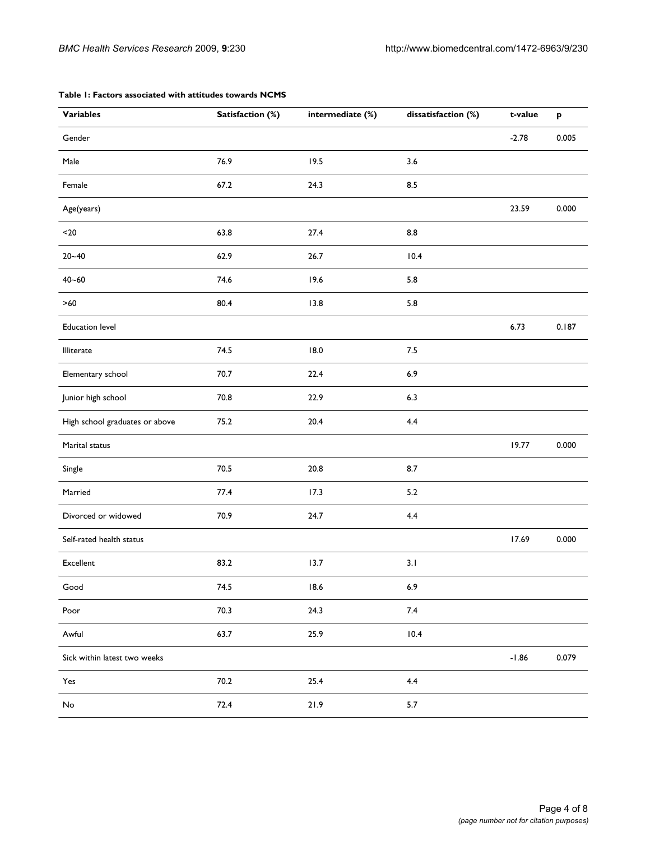| <b>Variables</b>               | Satisfaction (%) | intermediate (%) | dissatisfaction (%) | t-value | $\boldsymbol{\mathsf{p}}$ |
|--------------------------------|------------------|------------------|---------------------|---------|---------------------------|
| Gender                         |                  |                  |                     | $-2.78$ | 0.005                     |
| Male                           | 76.9             | 19.5             | 3.6                 |         |                           |
| Female                         | 67.2             | 24.3             | 8.5                 |         |                           |
| Age(years)                     |                  |                  |                     | 23.59   | 0.000                     |
| $20$                           | 63.8             | 27.4             | 8.8                 |         |                           |
| $20 - 40$                      | 62.9             | 26.7             | 10.4                |         |                           |
| $40 - 60$                      | 74.6             | 19.6             | 5.8                 |         |                           |
| $>60$                          | 80.4             | 13.8             | 5.8                 |         |                           |
| <b>Education level</b>         |                  |                  |                     | 6.73    | 0.187                     |
| Illiterate                     | 74.5             | 18.0             | $7.5$               |         |                           |
| Elementary school              | 70.7             | 22.4             | 6.9                 |         |                           |
| Junior high school             | 70.8             | 22.9             | 6.3                 |         |                           |
| High school graduates or above | 75.2             | 20.4             | 4.4                 |         |                           |
| Marital status                 |                  |                  |                     | 19.77   | 0.000                     |
| Single                         | 70.5             | 20.8             | 8.7                 |         |                           |
| Married                        | 77.4             | 17.3             | 5.2                 |         |                           |
| Divorced or widowed            | 70.9             | 24.7             | 4.4                 |         |                           |
| Self-rated health status       |                  |                  |                     | 17.69   | 0.000                     |
| Excellent                      | 83.2             | 13.7             | 3.1                 |         |                           |
| Good                           | 74.5             | 18.6             | 6.9                 |         |                           |
| Poor                           | 70.3             | 24.3             | $7.4$               |         |                           |
| Awful                          | 63.7             | 25.9             | 10.4                |         |                           |
| Sick within latest two weeks   |                  |                  |                     | $-1.86$ | 0.079                     |
| Yes                            | $70.2$           | 25.4             | 4.4                 |         |                           |
| No                             | 72.4             | 21.9             | 5.7                 |         |                           |

#### <span id="page-3-0"></span>**Table 1: Factors associated with attitudes towards NCMS**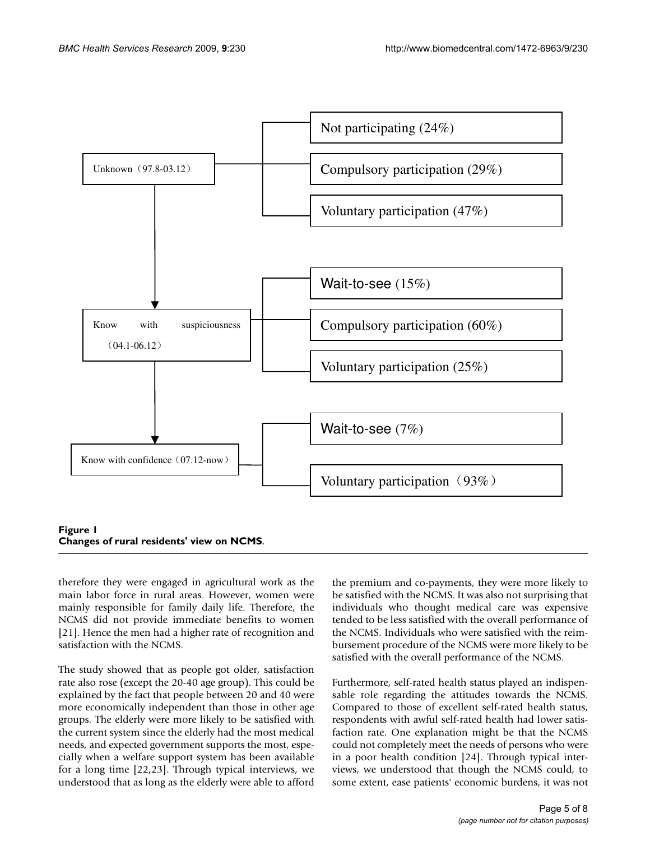<span id="page-4-0"></span>

# **Figure 1 Changes of rural residents' view on NCMS**.

therefore they were engaged in agricultural work as the main labor force in rural areas. However, women were mainly responsible for family daily life. Therefore, the NCMS did not provide immediate benefits to women [[21](#page-7-14)]. Hence the men had a higher rate of recognition and satisfaction with the NCMS.

The study showed that as people got older, satisfaction rate also rose (except the 20-40 age group). This could be explained by the fact that people between 20 and 40 were more economically independent than those in other age groups. The elderly were more likely to be satisfied with the current system since the elderly had the most medical needs, and expected government supports the most, especially when a welfare support system has been available for a long time [\[22,](#page-7-15)[23](#page-7-16)]. Through typical interviews, we understood that as long as the elderly were able to afford the premium and co-payments, they were more likely to be satisfied with the NCMS. It was also not surprising that individuals who thought medical care was expensive tended to be less satisfied with the overall performance of the NCMS. Individuals who were satisfied with the reimbursement procedure of the NCMS were more likely to be satisfied with the overall performance of the NCMS.

Furthermore, self-rated health status played an indispensable role regarding the attitudes towards the NCMS. Compared to those of excellent self-rated health status, respondents with awful self-rated health had lower satisfaction rate. One explanation might be that the NCMS could not completely meet the needs of persons who were in a poor health condition [\[24](#page-7-17)]. Through typical interviews, we understood that though the NCMS could, to some extent, ease patients' economic burdens, it was not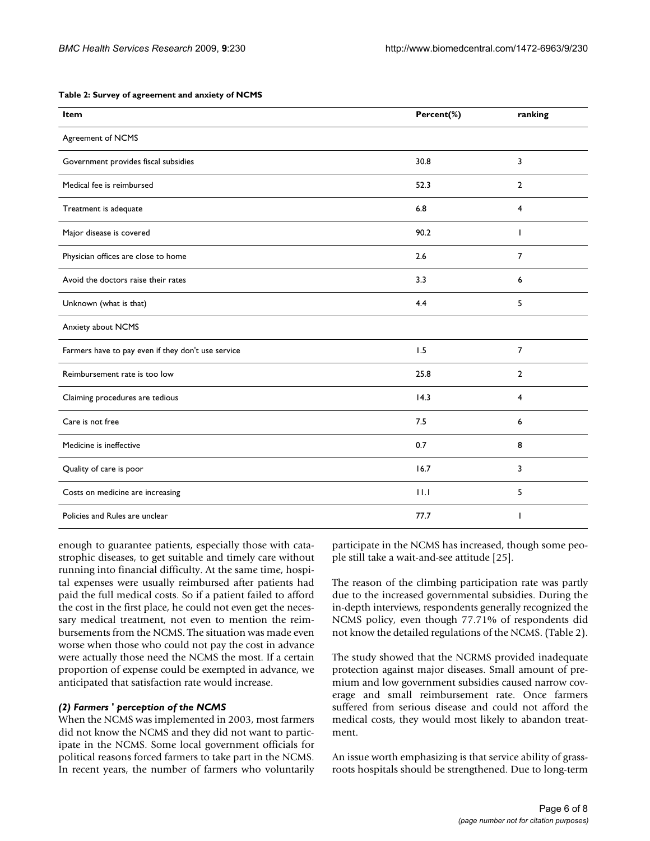| Item                                 | Percent(%) | ranking |
|--------------------------------------|------------|---------|
| Agreement of NCMS                    |            |         |
| Government provides fiscal subsidies | 30.8       | 3       |
| Medical fee is reimbursed            | 52.3       | 2       |
| Treatment is adequate                | 6.8        | 4       |
| Major disease is covered             | 90.2       |         |
| Physician offices are close to home  | 2.6        |         |
| Avoid the doctors raise their rates  | 3.3        | 6       |

#### <span id="page-5-0"></span>**Table 2: Survey of agreement and anxiety of NCMS**

| Major disease is covered                           | 90.2 |                |
|----------------------------------------------------|------|----------------|
| Physician offices are close to home                | 2.6  | 7              |
| Avoid the doctors raise their rates                | 3.3  | 6              |
| Unknown (what is that)                             | 4.4  | 5              |
| Anxiety about NCMS                                 |      |                |
| Farmers have to pay even if they don't use service | 1.5  | 7              |
| Reimbursement rate is too low                      | 25.8 | $\overline{2}$ |
| Claiming procedures are tedious                    | 14.3 | 4              |
| Care is not free                                   | 7.5  | 6              |
| Medicine is ineffective                            | 0.7  | 8              |
| Quality of care is poor                            | 16.7 | 3              |
| Costs on medicine are increasing                   | 11.1 | 5              |
| Policies and Rules are unclear                     | 77.7 |                |

enough to guarantee patients, especially those with catastrophic diseases, to get suitable and timely care without running into financial difficulty. At the same time, hospital expenses were usually reimbursed after patients had paid the full medical costs. So if a patient failed to afford the cost in the first place, he could not even get the necessary medical treatment, not even to mention the reimbursements from the NCMS. The situation was made even worse when those who could not pay the cost in advance were actually those need the NCMS the most. If a certain proportion of expense could be exempted in advance, we anticipated that satisfaction rate would increase.

#### *(2) Farmers ' perception of the NCMS*

When the NCMS was implemented in 2003, most farmers did not know the NCMS and they did not want to participate in the NCMS. Some local government officials for political reasons forced farmers to take part in the NCMS. In recent years, the number of farmers who voluntarily participate in the NCMS has increased, though some people still take a wait-and-see attitude [\[25](#page-7-18)].

The reason of the climbing participation rate was partly due to the increased governmental subsidies. During the in-depth interviews, respondents generally recognized the NCMS policy, even though 77.71% of respondents did not know the detailed regulations of the NCMS. (Table [2\)](#page-5-0).

The study showed that the NCRMS provided inadequate protection against major diseases. Small amount of premium and low government subsidies caused narrow coverage and small reimbursement rate. Once farmers suffered from serious disease and could not afford the medical costs, they would most likely to abandon treatment.

An issue worth emphasizing is that service ability of grassroots hospitals should be strengthened. Due to long-term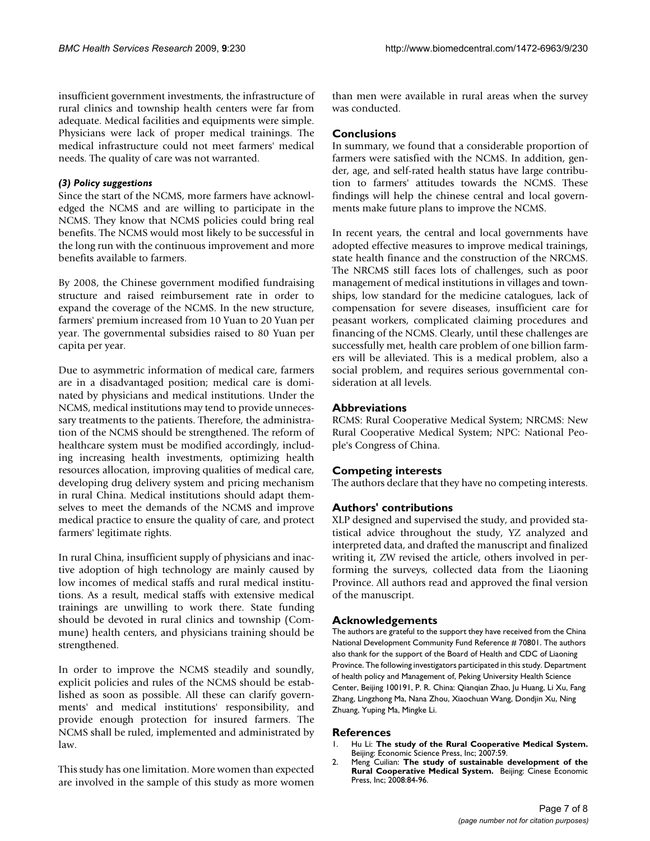insufficient government investments, the infrastructure of rural clinics and township health centers were far from adequate. Medical facilities and equipments were simple. Physicians were lack of proper medical trainings. The medical infrastructure could not meet farmers' medical needs. The quality of care was not warranted.

### *(3) Policy suggestions*

Since the start of the NCMS, more farmers have acknowledged the NCMS and are willing to participate in the NCMS. They know that NCMS policies could bring real benefits. The NCMS would most likely to be successful in the long run with the continuous improvement and more benefits available to farmers.

By 2008, the Chinese government modified fundraising structure and raised reimbursement rate in order to expand the coverage of the NCMS. In the new structure, farmers' premium increased from 10 Yuan to 20 Yuan per year. The governmental subsidies raised to 80 Yuan per capita per year.

Due to asymmetric information of medical care, farmers are in a disadvantaged position; medical care is dominated by physicians and medical institutions. Under the NCMS, medical institutions may tend to provide unnecessary treatments to the patients. Therefore, the administration of the NCMS should be strengthened. The reform of healthcare system must be modified accordingly, including increasing health investments, optimizing health resources allocation, improving qualities of medical care, developing drug delivery system and pricing mechanism in rural China. Medical institutions should adapt themselves to meet the demands of the NCMS and improve medical practice to ensure the quality of care, and protect farmers' legitimate rights.

In rural China, insufficient supply of physicians and inactive adoption of high technology are mainly caused by low incomes of medical staffs and rural medical institutions. As a result, medical staffs with extensive medical trainings are unwilling to work there. State funding should be devoted in rural clinics and township (Commune) health centers, and physicians training should be strengthened.

In order to improve the NCMS steadily and soundly, explicit policies and rules of the NCMS should be established as soon as possible. All these can clarify governments' and medical institutions' responsibility, and provide enough protection for insured farmers. The NCMS shall be ruled, implemented and administrated by law.

This study has one limitation. More women than expected are involved in the sample of this study as more women

than men were available in rural areas when the survey was conducted.

## **Conclusions**

In summary, we found that a considerable proportion of farmers were satisfied with the NCMS. In addition, gender, age, and self-rated health status have large contribution to farmers' attitudes towards the NCMS. These findings will help the chinese central and local governments make future plans to improve the NCMS.

In recent years, the central and local governments have adopted effective measures to improve medical trainings, state health finance and the construction of the NRCMS. The NRCMS still faces lots of challenges, such as poor management of medical institutions in villages and townships, low standard for the medicine catalogues, lack of compensation for severe diseases, insufficient care for peasant workers, complicated claiming procedures and financing of the NCMS. Clearly, until these challenges are successfully met, health care problem of one billion farmers will be alleviated. This is a medical problem, also a social problem, and requires serious governmental consideration at all levels.

## **Abbreviations**

RCMS: Rural Cooperative Medical System; NRCMS: New Rural Cooperative Medical System; NPC: National People's Congress of China.

# **Competing interests**

The authors declare that they have no competing interests.

# **Authors' contributions**

XLP designed and supervised the study, and provided statistical advice throughout the study, YZ analyzed and interpreted data, and drafted the manuscript and finalized writing it, ZW revised the article, others involved in performing the surveys, collected data from the Liaoning Province. All authors read and approved the final version of the manuscript.

#### **Acknowledgements**

The authors are grateful to the support they have received from the China National Development Community Fund Reference # 70801. The authors also thank for the support of the Board of Health and CDC of Liaoning Province. The following investigators participated in this study. Department of health policy and Management of, Peking University Health Science Center, Beijing 100191, P. R. China: Qianqian Zhao, Ju Huang, Li Xu, Fang Zhang, Lingzhong Ma, Nana Zhou, Xiaochuan Wang, Dondjin Xu, Ning Zhuang, Yuping Ma, Mingke Li.

#### **References**

- <span id="page-6-0"></span>1. Hu Li: **The study of the Rural Cooperative Medical System.** Beijing: Economic Science Press, Inc; 2007:59.
- <span id="page-6-1"></span>2. Meng Cuilian: **The study of sustainable development of the Rural Cooperative Medical System.** Beijing: Cinese Economic Press, Inc; 2008:84-96.